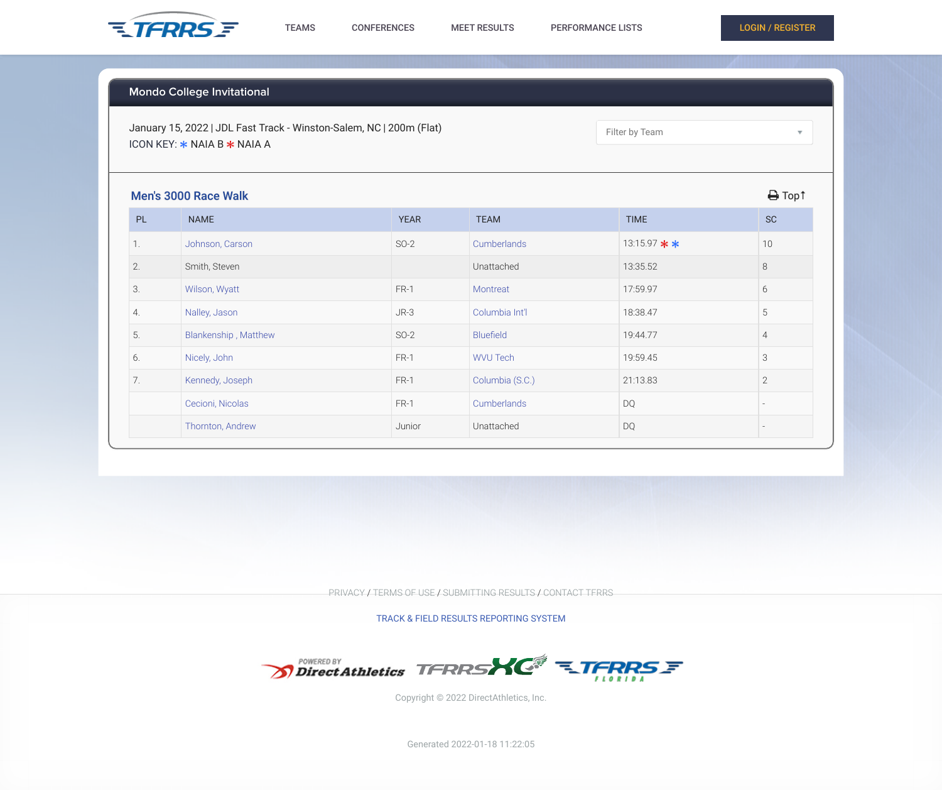## **Mondo College Invitational**

January 15, 2022 | JDL Fast Track - Winston-Salem, NC | 200m (Flat) ICON KEY:  $*$  NAIA B  $*$  NAIA A

Filter by Team



## Men's 3000 Race Walk ! Top↑

| <b>INCHO COOD HUGG MUNIT</b> |                      |             |                  |                |                |  |
|------------------------------|----------------------|-------------|------------------|----------------|----------------|--|
| PL                           | <b>NAME</b>          | <b>YEAR</b> | <b>TEAM</b>      | <b>TIME</b>    | <b>SC</b>      |  |
| 1.                           | Johnson, Carson      | $SO-2$      | Cumberlands      | 13:15.97 $*$ * | 10             |  |
| 2.                           | Smith, Steven        |             | Unattached       | 13:35.52       | $8\,$          |  |
| 3.                           | Wilson, Wyatt        | FR-1        | Montreat         | 17:59.97       | $6\,$          |  |
| 4.                           | Nalley, Jason        | $JR-3$      | Columbia Int'l   | 18:38.47       | 5              |  |
| 5.                           | Blankenship, Matthew | $SO-2$      | <b>Bluefield</b> | 19:44.77       | 4              |  |
| 6.                           | Nicely, John         | FR-1        | <b>WVU Tech</b>  | 19:59.45       | 3              |  |
| 7.                           | Kennedy, Joseph      | FR-1        | Columbia (S.C.)  | 21:13.83       | $\overline{2}$ |  |
|                              | Cecioni, Nicolas     | FR-1        | Cumberlands      | <b>DQ</b>      |                |  |
|                              | Thornton, Andrew     | Junior      | Unattached       | <b>DQ</b>      |                |  |

PRIVACY / TERMS OF USE / SUBMITTING RESULTS / CONTACT TFRRS

TRACK & FIELD RESULTS REPORTING SYSTEM



Copyright © 2022 DirectAthletics, Inc.

 $\overline{\mathbf{v}}$